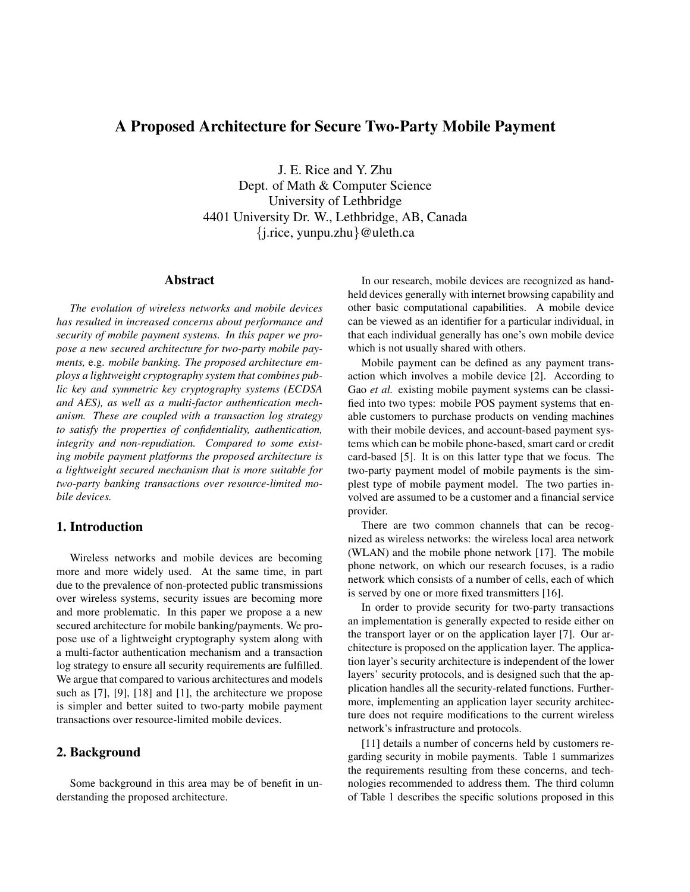# A Proposed Architecture for Secure Two-Party Mobile Payment

J. E. Rice and Y. Zhu Dept. of Math & Computer Science University of Lethbridge 4401 University Dr. W., Lethbridge, AB, Canada {j.rice, yunpu.zhu}@uleth.ca

### Abstract

*The evolution of wireless networks and mobile devices has resulted in increased concerns about performance and security of mobile payment systems. In this paper we propose a new secured architecture for two-party mobile payments,* e.g. *mobile banking. The proposed architecture employs a lightweight cryptography system that combines public key and symmetric key cryptography systems (ECDSA and AES), as well as a multi-factor authentication mechanism. These are coupled with a transaction log strategy to satisfy the properties of confidentiality, authentication, integrity and non-repudiation. Compared to some existing mobile payment platforms the proposed architecture is a lightweight secured mechanism that is more suitable for two-party banking transactions over resource-limited mobile devices.*

## 1. Introduction

Wireless networks and mobile devices are becoming more and more widely used. At the same time, in part due to the prevalence of non-protected public transmissions over wireless systems, security issues are becoming more and more problematic. In this paper we propose a a new secured architecture for mobile banking/payments. We propose use of a lightweight cryptography system along with a multi-factor authentication mechanism and a transaction log strategy to ensure all security requirements are fulfilled. We argue that compared to various architectures and models such as [7], [9], [18] and [1], the architecture we propose is simpler and better suited to two-party mobile payment transactions over resource-limited mobile devices.

## 2. Background

Some background in this area may be of benefit in understanding the proposed architecture.

In our research, mobile devices are recognized as handheld devices generally with internet browsing capability and other basic computational capabilities. A mobile device can be viewed as an identifier for a particular individual, in that each individual generally has one's own mobile device which is not usually shared with others.

Mobile payment can be defined as any payment transaction which involves a mobile device [2]. According to Gao *et al.* existing mobile payment systems can be classified into two types: mobile POS payment systems that enable customers to purchase products on vending machines with their mobile devices, and account-based payment systems which can be mobile phone-based, smart card or credit card-based [5]. It is on this latter type that we focus. The two-party payment model of mobile payments is the simplest type of mobile payment model. The two parties involved are assumed to be a customer and a financial service provider.

There are two common channels that can be recognized as wireless networks: the wireless local area network (WLAN) and the mobile phone network [17]. The mobile phone network, on which our research focuses, is a radio network which consists of a number of cells, each of which is served by one or more fixed transmitters [16].

In order to provide security for two-party transactions an implementation is generally expected to reside either on the transport layer or on the application layer [7]. Our architecture is proposed on the application layer. The application layer's security architecture is independent of the lower layers' security protocols, and is designed such that the application handles all the security-related functions. Furthermore, implementing an application layer security architecture does not require modifications to the current wireless network's infrastructure and protocols.

[11] details a number of concerns held by customers regarding security in mobile payments. Table 1 summarizes the requirements resulting from these concerns, and technologies recommended to address them. The third column of Table 1 describes the specific solutions proposed in this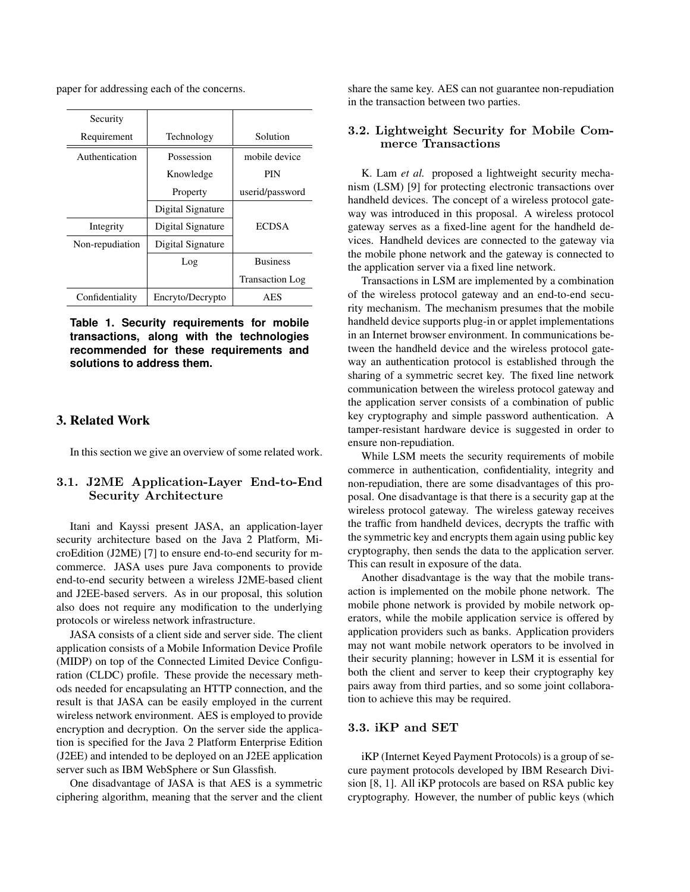paper for addressing each of the concerns.

| Security        |                   |                        |
|-----------------|-------------------|------------------------|
| Requirement     | Technology        | Solution               |
| Authentication  | Possession        | mobile device          |
|                 | Knowledge         | PIN                    |
|                 | Property          | userid/password        |
|                 | Digital Signature |                        |
| Integrity       | Digital Signature | <b>ECDSA</b>           |
| Non-repudiation | Digital Signature |                        |
|                 | Log               | <b>Business</b>        |
|                 |                   | <b>Transaction Log</b> |
| Confidentiality | Encryto/Decrypto  | <b>AES</b>             |

**Table 1. Security requirements for mobile transactions, along with the technologies recommended for these requirements and solutions to address them.**

## 3. Related Work

In this section we give an overview of some related work.

## 3.1. J2ME Application-Layer End-to-End Security Architecture

Itani and Kayssi present JASA, an application-layer security architecture based on the Java 2 Platform, MicroEdition (J2ME) [7] to ensure end-to-end security for mcommerce. JASA uses pure Java components to provide end-to-end security between a wireless J2ME-based client and J2EE-based servers. As in our proposal, this solution also does not require any modification to the underlying protocols or wireless network infrastructure.

JASA consists of a client side and server side. The client application consists of a Mobile Information Device Profile (MIDP) on top of the Connected Limited Device Configuration (CLDC) profile. These provide the necessary methods needed for encapsulating an HTTP connection, and the result is that JASA can be easily employed in the current wireless network environment. AES is employed to provide encryption and decryption. On the server side the application is specified for the Java 2 Platform Enterprise Edition (J2EE) and intended to be deployed on an J2EE application server such as IBM WebSphere or Sun Glassfish.

One disadvantage of JASA is that AES is a symmetric ciphering algorithm, meaning that the server and the client

share the same key. AES can not guarantee non-repudiation in the transaction between two parties.

## 3.2. Lightweight Security for Mobile Commerce Transactions

K. Lam *et al.* proposed a lightweight security mechanism (LSM) [9] for protecting electronic transactions over handheld devices. The concept of a wireless protocol gateway was introduced in this proposal. A wireless protocol gateway serves as a fixed-line agent for the handheld devices. Handheld devices are connected to the gateway via the mobile phone network and the gateway is connected to the application server via a fixed line network.

Transactions in LSM are implemented by a combination of the wireless protocol gateway and an end-to-end security mechanism. The mechanism presumes that the mobile handheld device supports plug-in or applet implementations in an Internet browser environment. In communications between the handheld device and the wireless protocol gateway an authentication protocol is established through the sharing of a symmetric secret key. The fixed line network communication between the wireless protocol gateway and the application server consists of a combination of public key cryptography and simple password authentication. A tamper-resistant hardware device is suggested in order to ensure non-repudiation.

While LSM meets the security requirements of mobile commerce in authentication, confidentiality, integrity and non-repudiation, there are some disadvantages of this proposal. One disadvantage is that there is a security gap at the wireless protocol gateway. The wireless gateway receives the traffic from handheld devices, decrypts the traffic with the symmetric key and encrypts them again using public key cryptography, then sends the data to the application server. This can result in exposure of the data.

Another disadvantage is the way that the mobile transaction is implemented on the mobile phone network. The mobile phone network is provided by mobile network operators, while the mobile application service is offered by application providers such as banks. Application providers may not want mobile network operators to be involved in their security planning; however in LSM it is essential for both the client and server to keep their cryptography key pairs away from third parties, and so some joint collaboration to achieve this may be required.

### 3.3. iKP and SET

iKP (Internet Keyed Payment Protocols) is a group of secure payment protocols developed by IBM Research Division [8, 1]. All iKP protocols are based on RSA public key cryptography. However, the number of public keys (which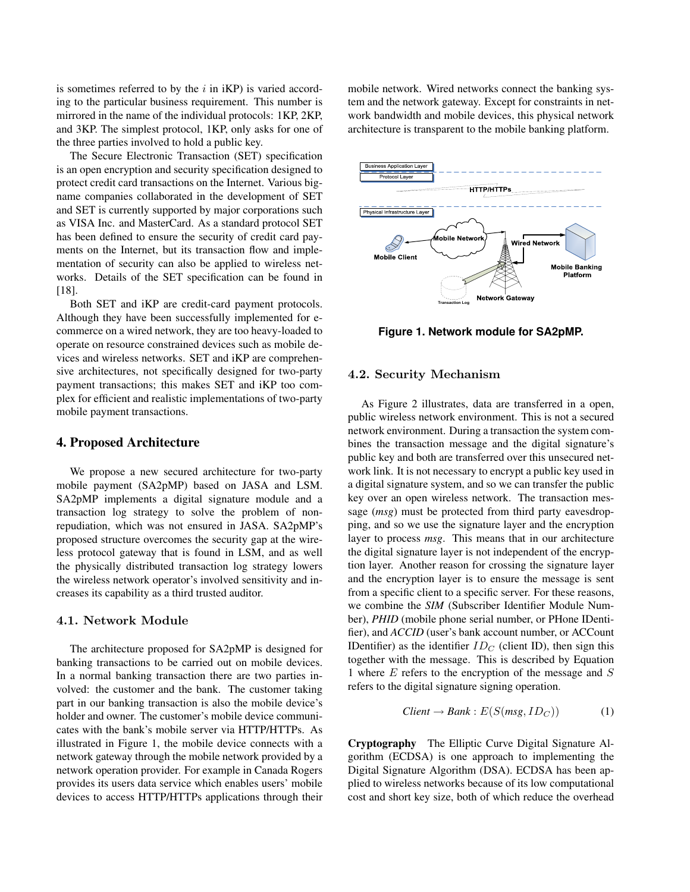is sometimes referred to by the  $i$  in  $iKP$ ) is varied according to the particular business requirement. This number is mirrored in the name of the individual protocols: 1KP, 2KP, and 3KP. The simplest protocol, 1KP, only asks for one of the three parties involved to hold a public key.

The Secure Electronic Transaction (SET) specification is an open encryption and security specification designed to protect credit card transactions on the Internet. Various bigname companies collaborated in the development of SET and SET is currently supported by major corporations such as VISA Inc. and MasterCard. As a standard protocol SET has been defined to ensure the security of credit card payments on the Internet, but its transaction flow and implementation of security can also be applied to wireless networks. Details of the SET specification can be found in [18].

Both SET and iKP are credit-card payment protocols. Although they have been successfully implemented for ecommerce on a wired network, they are too heavy-loaded to operate on resource constrained devices such as mobile devices and wireless networks. SET and iKP are comprehensive architectures, not specifically designed for two-party payment transactions; this makes SET and iKP too complex for efficient and realistic implementations of two-party mobile payment transactions.

#### 4. Proposed Architecture

We propose a new secured architecture for two-party mobile payment (SA2pMP) based on JASA and LSM. SA2pMP implements a digital signature module and a transaction log strategy to solve the problem of nonrepudiation, which was not ensured in JASA. SA2pMP's proposed structure overcomes the security gap at the wireless protocol gateway that is found in LSM, and as well the physically distributed transaction log strategy lowers the wireless network operator's involved sensitivity and increases its capability as a third trusted auditor.

#### 4.1. Network Module

The architecture proposed for SA2pMP is designed for banking transactions to be carried out on mobile devices. In a normal banking transaction there are two parties involved: the customer and the bank. The customer taking part in our banking transaction is also the mobile device's holder and owner. The customer's mobile device communicates with the bank's mobile server via HTTP/HTTPs. As illustrated in Figure 1, the mobile device connects with a network gateway through the mobile network provided by a network operation provider. For example in Canada Rogers provides its users data service which enables users' mobile devices to access HTTP/HTTPs applications through their

mobile network. Wired networks connect the banking system and the network gateway. Except for constraints in network bandwidth and mobile devices, this physical network architecture is transparent to the mobile banking platform.



**Figure 1. Network module for SA2pMP.**

### 4.2. Security Mechanism

As Figure 2 illustrates, data are transferred in a open, public wireless network environment. This is not a secured network environment. During a transaction the system combines the transaction message and the digital signature's public key and both are transferred over this unsecured network link. It is not necessary to encrypt a public key used in a digital signature system, and so we can transfer the public key over an open wireless network. The transaction message (*msg*) must be protected from third party eavesdropping, and so we use the signature layer and the encryption layer to process *msg*. This means that in our architecture the digital signature layer is not independent of the encryption layer. Another reason for crossing the signature layer and the encryption layer is to ensure the message is sent from a specific client to a specific server. For these reasons, we combine the *SIM* (Subscriber Identifier Module Number), *PHID* (mobile phone serial number, or PHone IDentifier), and *ACCID* (user's bank account number, or ACCount IDentifier) as the identifier  $ID<sub>C</sub>$  (client ID), then sign this together with the message. This is described by Equation 1 where  $E$  refers to the encryption of the message and  $S$ refers to the digital signature signing operation.

$$
Client \rightarrow Bank : E(S(msg, ID_C)) \tag{1}
$$

Cryptography The Elliptic Curve Digital Signature Algorithm (ECDSA) is one approach to implementing the Digital Signature Algorithm (DSA). ECDSA has been applied to wireless networks because of its low computational cost and short key size, both of which reduce the overhead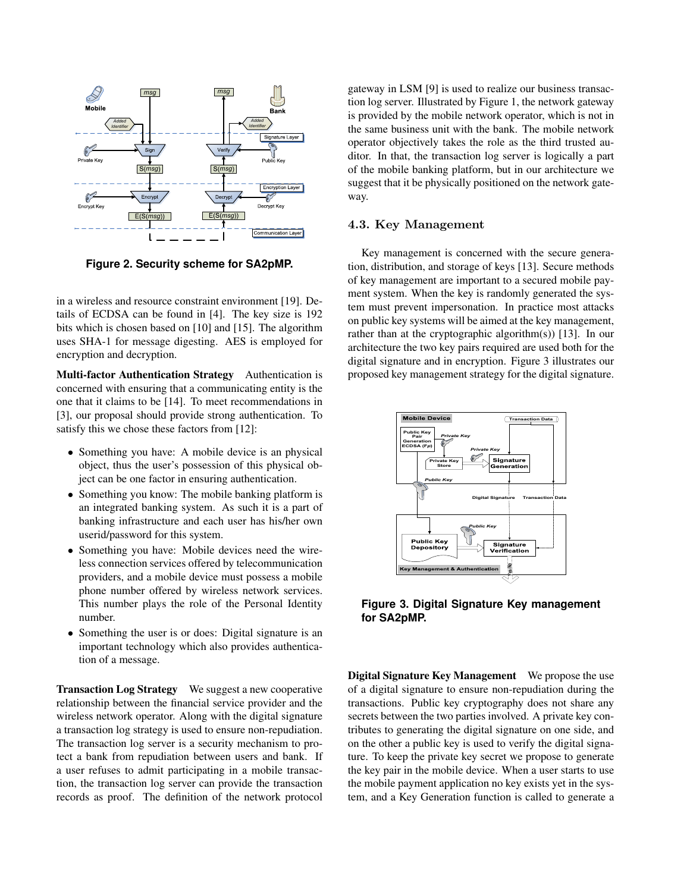

**Figure 2. Security scheme for SA2pMP.**

in a wireless and resource constraint environment [19]. Details of ECDSA can be found in [4]. The key size is 192 bits which is chosen based on [10] and [15]. The algorithm uses SHA-1 for message digesting. AES is employed for encryption and decryption.

Multi-factor Authentication Strategy Authentication is concerned with ensuring that a communicating entity is the one that it claims to be [14]. To meet recommendations in [3], our proposal should provide strong authentication. To satisfy this we chose these factors from [12]:

- Something you have: A mobile device is an physical object, thus the user's possession of this physical object can be one factor in ensuring authentication.
- Something you know: The mobile banking platform is an integrated banking system. As such it is a part of banking infrastructure and each user has his/her own userid/password for this system.
- Something you have: Mobile devices need the wireless connection services offered by telecommunication providers, and a mobile device must possess a mobile phone number offered by wireless network services. This number plays the role of the Personal Identity number.
- Something the user is or does: Digital signature is an important technology which also provides authentication of a message.

Transaction Log Strategy We suggest a new cooperative relationship between the financial service provider and the wireless network operator. Along with the digital signature a transaction log strategy is used to ensure non-repudiation. The transaction log server is a security mechanism to protect a bank from repudiation between users and bank. If a user refuses to admit participating in a mobile transaction, the transaction log server can provide the transaction records as proof. The definition of the network protocol gateway in LSM [9] is used to realize our business transaction log server. Illustrated by Figure 1, the network gateway is provided by the mobile network operator, which is not in the same business unit with the bank. The mobile network operator objectively takes the role as the third trusted auditor. In that, the transaction log server is logically a part of the mobile banking platform, but in our architecture we suggest that it be physically positioned on the network gateway.

## 4.3. Key Management

Key management is concerned with the secure generation, distribution, and storage of keys [13]. Secure methods of key management are important to a secured mobile payment system. When the key is randomly generated the system must prevent impersonation. In practice most attacks on public key systems will be aimed at the key management, rather than at the cryptographic algorithm(s)) [13]. In our architecture the two key pairs required are used both for the digital signature and in encryption. Figure 3 illustrates our proposed key management strategy for the digital signature.



**Figure 3. Digital Signature Key management for SA2pMP.**

Digital Signature Key Management We propose the use of a digital signature to ensure non-repudiation during the transactions. Public key cryptography does not share any secrets between the two parties involved. A private key contributes to generating the digital signature on one side, and on the other a public key is used to verify the digital signature. To keep the private key secret we propose to generate the key pair in the mobile device. When a user starts to use the mobile payment application no key exists yet in the system, and a Key Generation function is called to generate a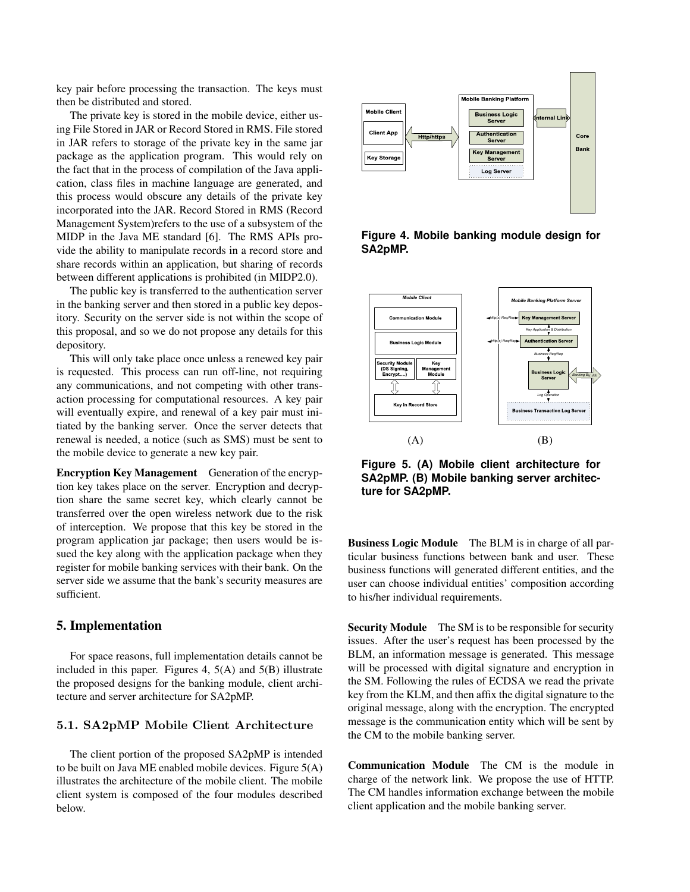key pair before processing the transaction. The keys must then be distributed and stored.

The private key is stored in the mobile device, either using File Stored in JAR or Record Stored in RMS. File stored in JAR refers to storage of the private key in the same jar package as the application program. This would rely on the fact that in the process of compilation of the Java application, class files in machine language are generated, and this process would obscure any details of the private key incorporated into the JAR. Record Stored in RMS (Record Management System)refers to the use of a subsystem of the MIDP in the Java ME standard [6]. The RMS APIs provide the ability to manipulate records in a record store and share records within an application, but sharing of records between different applications is prohibited (in MIDP2.0).

The public key is transferred to the authentication server in the banking server and then stored in a public key depository. Security on the server side is not within the scope of this proposal, and so we do not propose any details for this depository.

This will only take place once unless a renewed key pair is requested. This process can run off-line, not requiring any communications, and not competing with other transaction processing for computational resources. A key pair will eventually expire, and renewal of a key pair must initiated by the banking server. Once the server detects that renewal is needed, a notice (such as SMS) must be sent to the mobile device to generate a new key pair.

Encryption Key Management Generation of the encryption key takes place on the server. Encryption and decryption share the same secret key, which clearly cannot be transferred over the open wireless network due to the risk of interception. We propose that this key be stored in the program application jar package; then users would be issued the key along with the application package when they register for mobile banking services with their bank. On the server side we assume that the bank's security measures are sufficient.

## 5. Implementation

For space reasons, full implementation details cannot be included in this paper. Figures 4, 5(A) and 5(B) illustrate the proposed designs for the banking module, client architecture and server architecture for SA2pMP.

### 5.1. SA2pMP Mobile Client Architecture

The client portion of the proposed SA2pMP is intended to be built on Java ME enabled mobile devices. Figure 5(A) illustrates the architecture of the mobile client. The mobile client system is composed of the four modules described below.



**Figure 4. Mobile banking module design for SA2pMP.**



**Figure 5. (A) Mobile client architecture for SA2pMP. (B) Mobile banking server architecture for SA2pMP.**

Business Logic Module The BLM is in charge of all particular business functions between bank and user. These business functions will generated different entities, and the user can choose individual entities' composition according to his/her individual requirements.

Security Module The SM is to be responsible for security issues. After the user's request has been processed by the BLM, an information message is generated. This message will be processed with digital signature and encryption in the SM. Following the rules of ECDSA we read the private key from the KLM, and then affix the digital signature to the original message, along with the encryption. The encrypted message is the communication entity which will be sent by the CM to the mobile banking server.

Communication Module The CM is the module in charge of the network link. We propose the use of HTTP. The CM handles information exchange between the mobile client application and the mobile banking server.